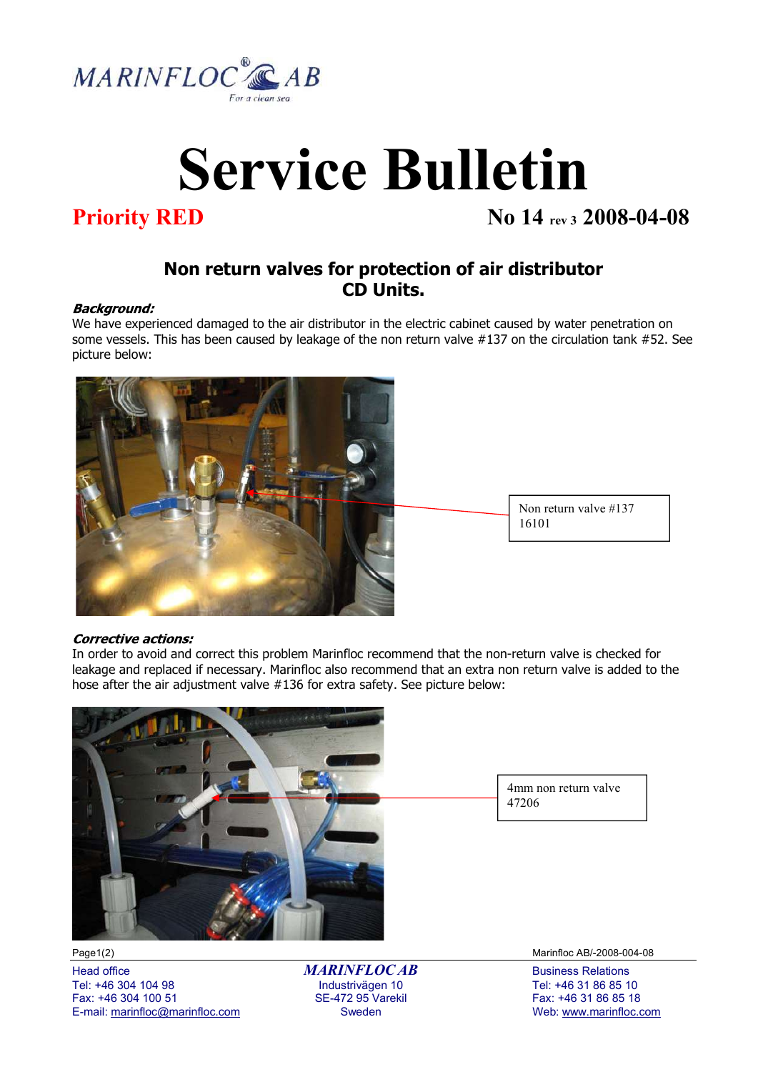

# Service Bulletin

**Priority RED** No 14 rev 3 2008-04-08

## Non return valves for protection of air distributor CD Units.

## **Background:**

We have experienced damaged to the air distributor in the electric cabinet caused by water penetration on some vessels. This has been caused by leakage of the non return valve #137 on the circulation tank #52. See picture below:



In order to avoid and correct this problem Marinfloc recommend that the non-return valve is checked for leakage and replaced if necessary. Marinfloc also recommend that an extra non return valve is added to the hose after the air adjustment valve #136 for extra safety. See picture below:



4mm non return valve 47206

Tel: +46 304 104 98 Industrivägen 10 Tel: +46 31 86 85 10 Fax: +46 304 100 51 SE-472 95 Varekil Fax: +46 31 86 85 18